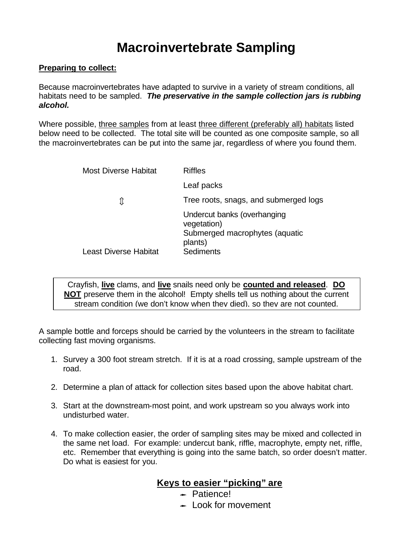## **Macroinvertebrate Sampling**

#### **Preparing to collect:**

Because macroinvertebrates have adapted to survive in a variety of stream conditions, all habitats need to be sampled. *The preservative in the sample collection jars is rubbing alcohol.*

Where possible, three samples from at least three different (preferably all) habitats listed below need to be collected. The total site will be counted as one composite sample, so all the macroinvertebrates can be put into the same jar, regardless of where you found them.

| <b>Most Diverse Habitat</b>  | <b>Riffles</b>                                                               |
|------------------------------|------------------------------------------------------------------------------|
|                              | Leaf packs                                                                   |
|                              | Tree roots, snags, and submerged logs                                        |
|                              | Undercut banks (overhanging<br>vegetation)<br>Submerged macrophytes (aquatic |
| <b>Least Diverse Habitat</b> | plants)<br><b>Sediments</b>                                                  |

Crayfish, **live** clams, and **live** snails need only be **counted and released**. **DO NOT** preserve them in the alcohol! Empty shells tell us nothing about the current stream condition (we don't know when they died), so they are not counted.

A sample bottle and forceps should be carried by the volunteers in the stream to facilitate collecting fast moving organisms.

- 1. Survey a 300 foot stream stretch. If it is at a road crossing, sample upstream of the road.
- 2. Determine a plan of attack for collection sites based upon the above habitat chart.
- 3. Start at the downstream-most point, and work upstream so you always work into undisturbed water.
- 4. To make collection easier, the order of sampling sites may be mixed and collected in the same net load. For example: undercut bank, riffle, macrophyte, empty net, riffle, etc. Remember that everything is going into the same batch, so order doesn't matter. Do what is easiest for you.

#### **Keys to easier "picking" are**

- $\leftarrow$  Patience!
- $\leftarrow$  Look for movement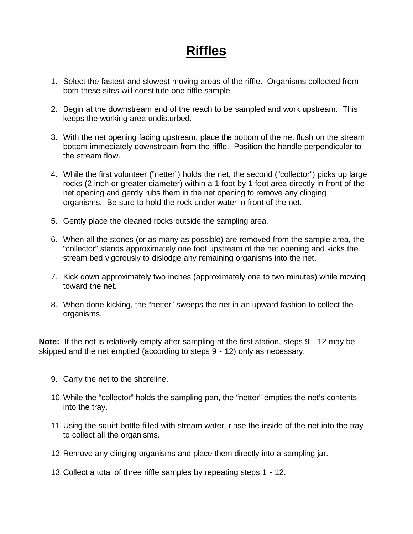# **Riffles**

- 1. Select the fastest and slowest moving areas of the riffle. Organisms collected from both these sites will constitute one riffle sample.
- 2. Begin at the downstream end of the reach to be sampled and work upstream. This keeps the working area undisturbed.
- 3. With the net opening facing upstream, place the bottom of the net flush on the stream bottom immediately downstream from the riffle. Position the handle perpendicular to the stream flow.
- 4. While the first volunteer ("netter") holds the net, the second ("collector") picks up large rocks (2 inch or greater diameter) within a 1 foot by 1 foot area directly in front of the net opening and gently rubs them in the net opening to remove any clinging organisms. Be sure to hold the rock under water in front of the net.
- 5. Gently place the cleaned rocks outside the sampling area.
- 6. When all the stones (or as many as possible) are removed from the sample area, the "collector" stands approximately one foot upstream of the net opening and kicks the stream bed vigorously to dislodge any remaining organisms into the net.
- 7. Kick down approximately two inches (approximately one to two minutes) while moving toward the net.
- 8. When done kicking, the "netter" sweeps the net in an upward fashion to collect the organisms.

**Note:** If the net is relatively empty after sampling at the first station, steps 9 - 12 may be skipped and the net emptied (according to steps 9 - 12) only as necessary.

- 9. Carry the net to the shoreline.
- 10.While the "collector" holds the sampling pan, the "netter" empties the net's contents into the tray.
- 11.Using the squirt bottle filled with stream water, rinse the inside of the net into the tray to collect all the organisms.
- 12.Remove any clinging organisms and place them directly into a sampling jar.
- 13.Collect a total of three riffle samples by repeating steps 1 12.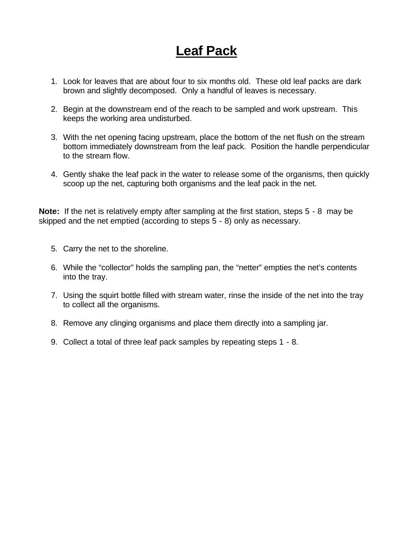## **Leaf Pack**

- 1. Look for leaves that are about four to six months old. These old leaf packs are dark brown and slightly decomposed. Only a handful of leaves is necessary.
- 2. Begin at the downstream end of the reach to be sampled and work upstream. This keeps the working area undisturbed.
- 3. With the net opening facing upstream, place the bottom of the net flush on the stream bottom immediately downstream from the leaf pack. Position the handle perpendicular to the stream flow.
- 4. Gently shake the leaf pack in the water to release some of the organisms, then quickly scoop up the net, capturing both organisms and the leaf pack in the net.

**Note:** If the net is relatively empty after sampling at the first station, steps 5 - 8 may be skipped and the net emptied (according to steps 5 - 8) only as necessary.

- 5. Carry the net to the shoreline.
- 6. While the "collector" holds the sampling pan, the "netter" empties the net's contents into the tray.
- 7. Using the squirt bottle filled with stream water, rinse the inside of the net into the tray to collect all the organisms.
- 8. Remove any clinging organisms and place them directly into a sampling jar.
- 9. Collect a total of three leaf pack samples by repeating steps 1 8.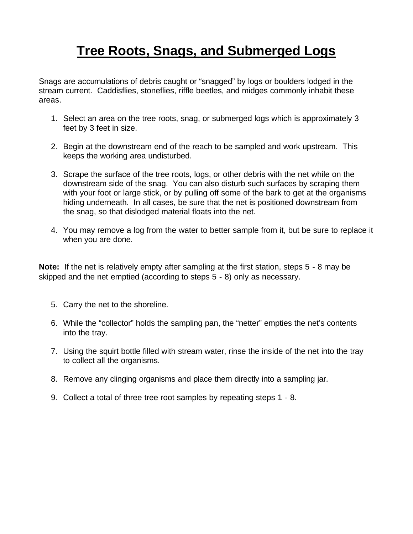# **Tree Roots, Snags, and Submerged Logs**

Snags are accumulations of debris caught or "snagged" by logs or boulders lodged in the stream current. Caddisflies, stoneflies, riffle beetles, and midges commonly inhabit these areas.

- 1. Select an area on the tree roots, snag, or submerged logs which is approximately 3 feet by 3 feet in size.
- 2. Begin at the downstream end of the reach to be sampled and work upstream. This keeps the working area undisturbed.
- 3. Scrape the surface of the tree roots, logs, or other debris with the net while on the downstream side of the snag. You can also disturb such surfaces by scraping them with your foot or large stick, or by pulling off some of the bark to get at the organisms hiding underneath. In all cases, be sure that the net is positioned downstream from the snag, so that dislodged material floats into the net.
- 4. You may remove a log from the water to better sample from it, but be sure to replace it when you are done.

**Note:** If the net is relatively empty after sampling at the first station, steps 5 - 8 may be skipped and the net emptied (according to steps 5 - 8) only as necessary.

- 5. Carry the net to the shoreline.
- 6. While the "collector" holds the sampling pan, the "netter" empties the net's contents into the tray.
- 7. Using the squirt bottle filled with stream water, rinse the inside of the net into the tray to collect all the organisms.
- 8. Remove any clinging organisms and place them directly into a sampling jar.
- 9. Collect a total of three tree root samples by repeating steps 1 8.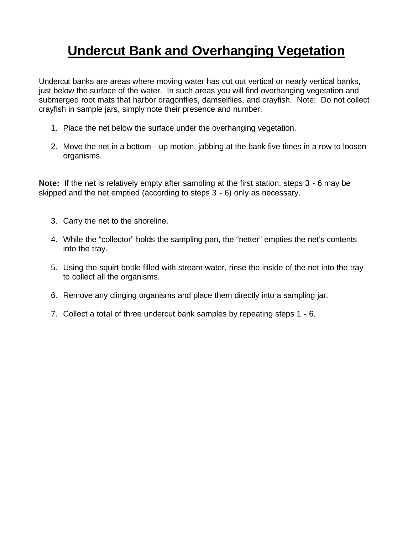# **Undercut Bank and Overhanging Vegetation**

Undercut banks are areas where moving water has cut out vertical or nearly vertical banks, just below the surface of the water. In such areas you will find overhanging vegetation and submerged root mats that harbor dragonflies, damselflies, and crayfish. Note: Do not collect crayfish in sample jars, simply note their presence and number.

- 1. Place the net below the surface under the overhanging vegetation.
- 2. Move the net in a bottom up motion, jabbing at the bank five times in a row to loosen organisms.

**Note:** If the net is relatively empty after sampling at the first station, steps 3 - 6 may be skipped and the net emptied (according to steps 3 - 6) only as necessary.

- 3. Carry the net to the shoreline.
- 4. While the "collector" holds the sampling pan, the "netter" empties the net's contents into the tray.
- 5. Using the squirt bottle filled with stream water, rinse the inside of the net into the tray to collect all the organisms.
- 6. Remove any clinging organisms and place them directly into a sampling jar.
- 7. Collect a total of three undercut bank samples by repeating steps 1 6.